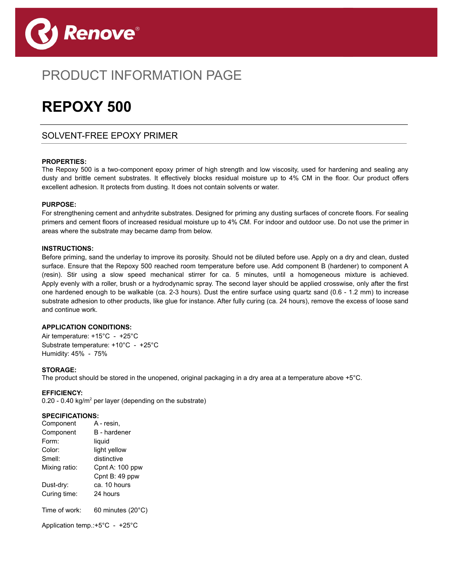

## PRODUCT INFORMATION PAGE

# **REPOXY 500**

### SOLVENT-FREE EPOXY PRIMER

#### **PROPERTIES:**

The Repoxy 500 is a two-component epoxy primer of high strength and low viscosity, used for hardening and sealing any dusty and brittle cement substrates. It effectively blocks residual moisture up to 4% CM in the floor. Our product offers excellent adhesion. It protects from dusting. It does not contain solvents or water.

 $\overline{a}$ 

#### **PURPOSE:**

For strengthening cement and anhydrite substrates. Designed for priming any dusting surfaces of concrete floors. For sealing primers and cement floors of increased residual moisture up to 4% CM. For indoor and outdoor use. Do not use the primer in areas where the substrate may became damp from below.

#### **INSTRUCTIONS:**

Before priming, sand the underlay to improve its porosity. Should not be diluted before use. Apply on a dry and clean, dusted surface. Ensure that the Repoxy 500 reached room temperature before use. Add component B (hardener) to component A (resin). Stir using a slow speed mechanical stirrer for ca. 5 minutes, until a homogeneous mixture is achieved. Apply evenly with a roller, brush or a hydrodynamic spray. The second layer should be applied crosswise, only after the first one hardened enough to be walkable (ca. 2-3 hours). Dust the entire surface using quartz sand (0.6 - 1.2 mm) to increase substrate adhesion to other products, like glue for instance. After fully curing (ca. 24 hours), remove the excess of loose sand and continue work.

#### **APPLICATION CONDITIONS:**

Air temperature: +15°C - +25°C Substrate temperature: +10°C - +25°C Humidity: 45% - 75%

#### **STORAGE:**

The product should be stored in the unopened, original packaging in a dry area at a temperature above +5°C.

#### **EFFICIENCY:**

0.20 - 0.40 kg/m<sup>2</sup> per layer (depending on the substrate)

#### **SPECIFICATIONS:**

| Component                                           | A - resin.          |
|-----------------------------------------------------|---------------------|
| Component                                           | <b>B</b> - hardener |
| Form:                                               | liquid              |
| Color:                                              | light yellow        |
| Smell:                                              | distinctive         |
| Mixing ratio:                                       | Cpnt A: 100 ppw     |
|                                                     | Cpnt B: 49 ppw      |
| Dust-dry:                                           | ca. 10 hours        |
| Curing time:                                        | 24 hours            |
| Time of work:                                       | 60 minutes (20°C)   |
| Application temp.: $+5^{\circ}$ C - $+25^{\circ}$ C |                     |